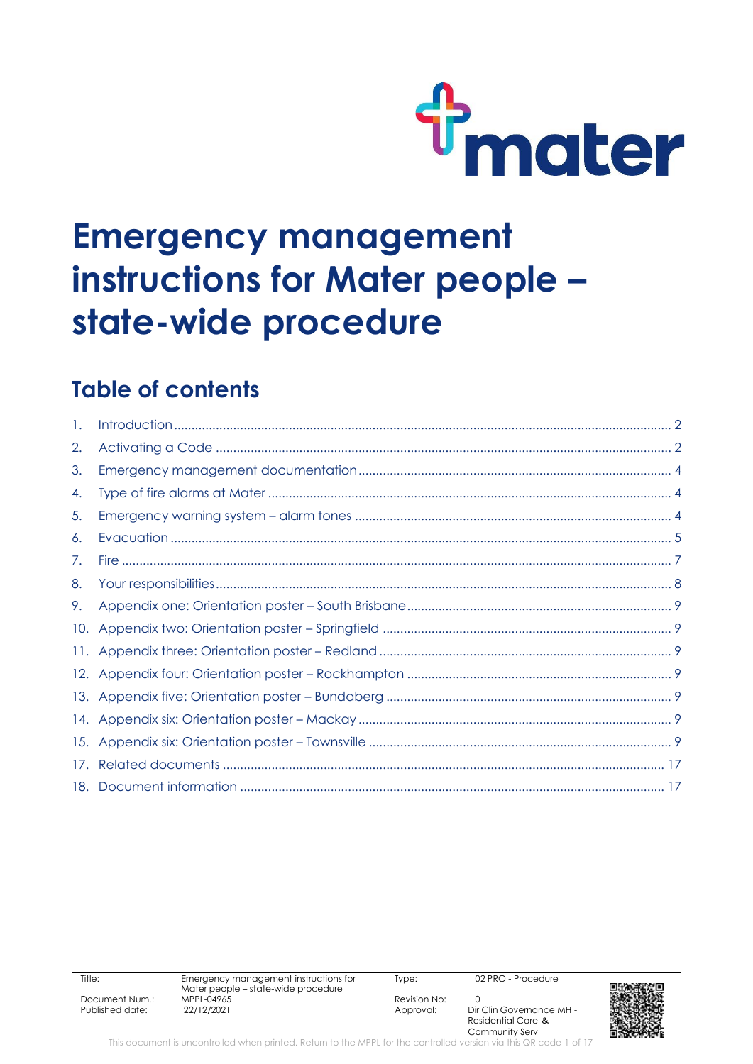

# **Emergency management instructions for Mater people – state-wide procedure**

### **Table of contents**

| 1.  |  |
|-----|--|
| 2.  |  |
| 3.  |  |
| 4.  |  |
| 5.  |  |
| 6.  |  |
| 7.  |  |
| 8.  |  |
| 9.  |  |
| 10. |  |
|     |  |
| 12. |  |
|     |  |
|     |  |
|     |  |
| 17. |  |
|     |  |

Type: 02 PRO - Procedure

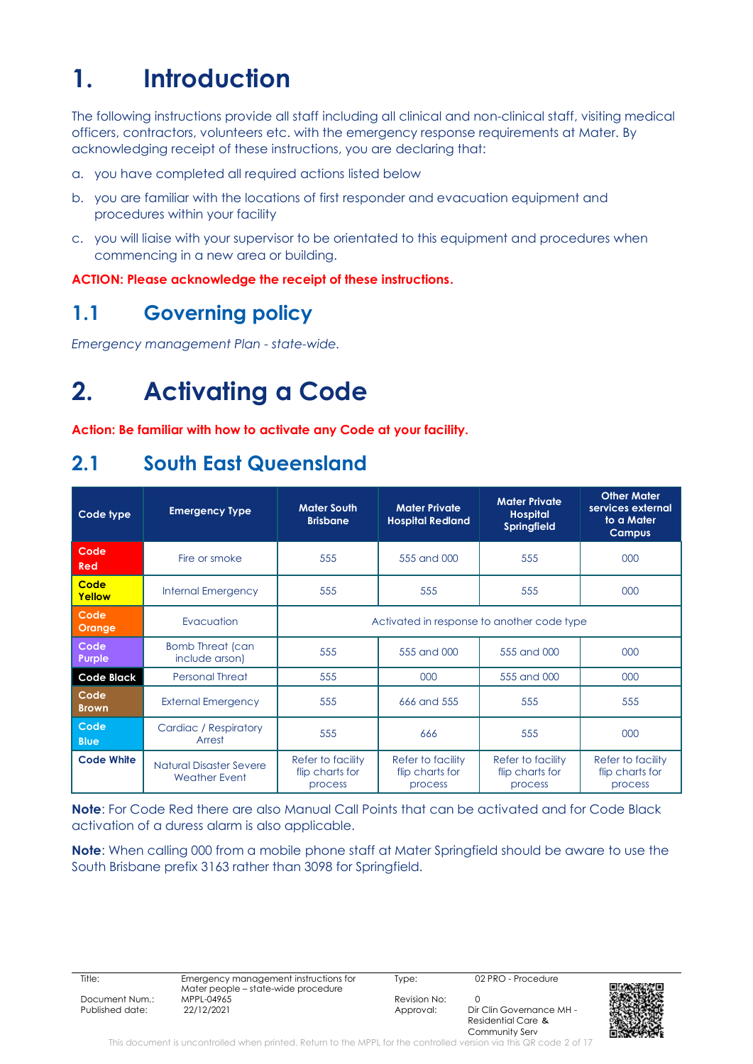## <span id="page-1-0"></span>**1. Introduction**

The following instructions provide all staff including all clinical and non-clinical staff, visiting medical officers, contractors, volunteers etc. with the emergency response requirements at Mater. By acknowledging receipt of these instructions, you are declaring that:

- a. you have completed all required actions listed below
- b. you are familiar with the locations of first responder and evacuation equipment and procedures within your facility
- c. you will liaise with your supervisor to be orientated to this equipment and procedures when commencing in a new area or building.

**ACTION: Please acknowledge the receipt of these instructions.**

### **1.1 Governing policy**

*Emergency management Plan - state-wide.*

## <span id="page-1-1"></span>**2. Activating a Code**

**Action: Be familiar with how to activate any Code at your facility.**

### **2.1 South East Queensland**

| Code type            | <b>Emergency Type</b>                                  | <b>Mater Private</b><br><b>Mater South</b><br><b>Brisbane</b><br><b>Hospital Redland</b> |                                                 | <b>Mater Private</b><br><b>Hospital</b><br><b>Springfield</b> | <b>Other Mater</b><br>services external<br>to a Mater<br><b>Campus</b> |  |
|----------------------|--------------------------------------------------------|------------------------------------------------------------------------------------------|-------------------------------------------------|---------------------------------------------------------------|------------------------------------------------------------------------|--|
| Code<br>Red          | Fire or smoke                                          | 555                                                                                      | 555 and 000                                     | 555                                                           | 000                                                                    |  |
| Code<br>Yellow       | <b>Internal Emergency</b>                              | 555                                                                                      | 555                                             | 555                                                           | 000                                                                    |  |
| Code<br>Orange       | Evacuation                                             | Activated in response to another code type                                               |                                                 |                                                               |                                                                        |  |
| Code<br>Purple       | <b>Bomb Threat (can</b><br>include arson)              | 555                                                                                      | 555 and 000                                     | 555 and 000                                                   | 000                                                                    |  |
| <b>Code Black</b>    | <b>Personal Threat</b>                                 | 555                                                                                      | 000                                             | 555 and 000                                                   | 000                                                                    |  |
| Code<br><b>Brown</b> | <b>External Emergency</b>                              | 555                                                                                      | 666 and 555                                     | 555                                                           | 555                                                                    |  |
| Code<br><b>Blue</b>  | Cardiac / Respiratory<br>Arrest                        | 555                                                                                      | 666                                             | 555                                                           | 000                                                                    |  |
| <b>Code White</b>    | <b>Natural Disaster Severe</b><br><b>Weather Event</b> | Refer to facility<br>flip charts for<br>process                                          | Refer to facility<br>flip charts for<br>process | Refer to facility<br>flip charts for<br>process               | Refer to facility<br>flip charts for<br>process                        |  |

**Note**: For Code Red there are also Manual Call Points that can be activated and for Code Black activation of a duress alarm is also applicable.

**Note**: When calling 000 from a mobile phone staff at Mater Springfield should be aware to use the South Brisbane prefix 3163 rather than 3098 for Springfield.

Title: Emergency management instructions for Mater people – state-wide procedure Document Num.: MPPL-04965 Revision No: 0 Published date: 22/12/2021 2021 Approval: Dir Clin Governance MH -

Type: 02 PRO - Procedure

Residential Care & Community Serv

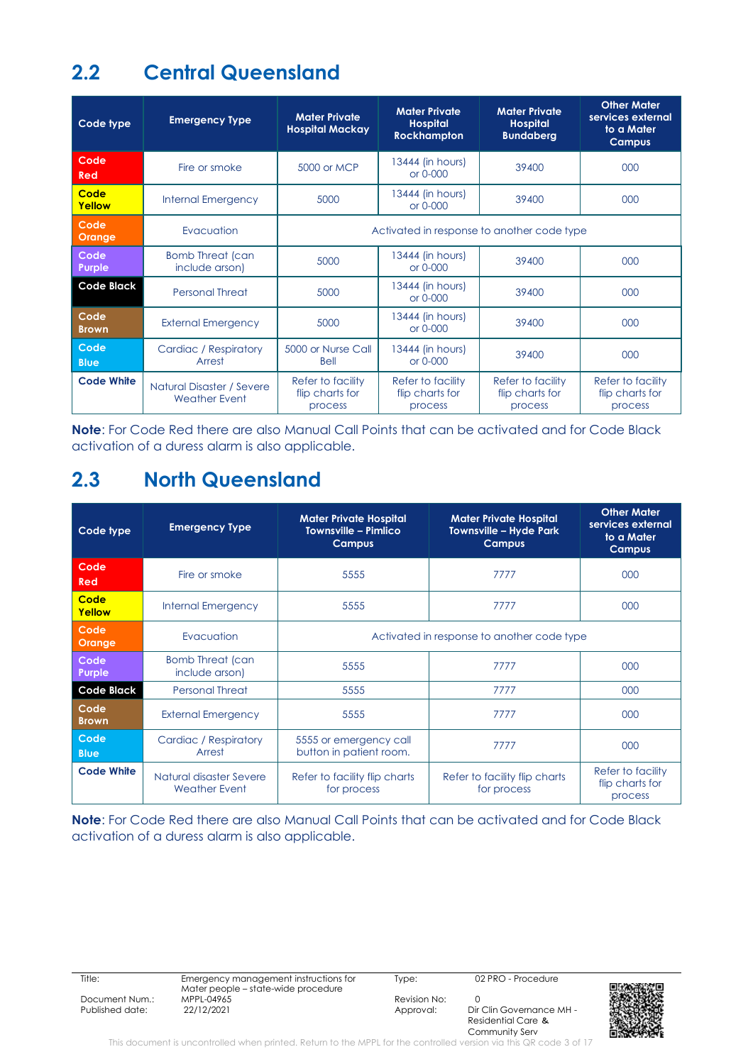### **2.2 Central Queensland**

| Code type            | <b>Emergency Type</b>                             | <b>Mater Private</b><br><b>Hospital Mackay</b>  | <b>Mater Private</b><br><b>Hospital</b><br><b>Rockhampton</b> | <b>Mater Private</b><br><b>Hospital</b><br><b>Bundaberg</b> | <b>Other Mater</b><br>services external<br>to a Mater<br><b>Campus</b> |
|----------------------|---------------------------------------------------|-------------------------------------------------|---------------------------------------------------------------|-------------------------------------------------------------|------------------------------------------------------------------------|
| Code<br>Red          | Fire or smoke                                     | 5000 or MCP                                     | 13444 (in hours)<br>or 0-000                                  | 39400                                                       | 000                                                                    |
| Code<br>Yellow       | <b>Internal Emergency</b>                         | 5000                                            | 13444 (in hours)<br>or 0-000                                  | 39400                                                       | 000                                                                    |
| Code<br>Orange       | Evacuation                                        | Activated in response to another code type      |                                                               |                                                             |                                                                        |
| Code<br>Purple       | <b>Bomb Threat (can</b><br>include arson)         | 5000                                            | 13444 (in hours)<br>or 0-000                                  | 39400                                                       | 000                                                                    |
| <b>Code Black</b>    | <b>Personal Threat</b>                            | 5000                                            | 13444 (in hours)<br>or 0-000                                  | 39400                                                       | 000                                                                    |
| Code<br><b>Brown</b> | <b>External Emergency</b>                         | 5000                                            | 13444 (in hours)<br>or 0-000                                  | 39400                                                       | 000                                                                    |
| Code<br><b>Blue</b>  | Cardiac / Respiratory<br>Arrest                   | 5000 or Nurse Call<br>Bell                      | 13444 (in hours)<br>or 0-000                                  | 39400                                                       | 000                                                                    |
| <b>Code White</b>    | Natural Disaster / Severe<br><b>Weather Event</b> | Refer to facility<br>flip charts for<br>process | Refer to facility<br>flip charts for<br>process               | Refer to facility<br>flip charts for<br>process             | Refer to facility<br>flip charts for<br>process                        |

**Note**: For Code Red there are also Manual Call Points that can be activated and for Code Black activation of a duress alarm is also applicable.

### **2.3 North Queensland**

| Code type            | <b>Emergency Type</b>                           | <b>Mater Private Hospital</b><br><b>Townsville - Pimlico</b><br><b>Campus</b> | <b>Mater Private Hospital</b><br>Townsville – Hyde Park<br><b>Campus</b> | <b>Other Mater</b><br>services external<br>to a Mater<br><b>Campus</b> |  |
|----------------------|-------------------------------------------------|-------------------------------------------------------------------------------|--------------------------------------------------------------------------|------------------------------------------------------------------------|--|
| Code<br>Red          | Fire or smoke                                   | 5555                                                                          | 7777                                                                     | 000                                                                    |  |
| Code<br>Yellow       | <b>Internal Emergency</b>                       | 5555                                                                          | 7777                                                                     | 000                                                                    |  |
| Code<br>Orange       | Evacuation                                      | Activated in response to another code type                                    |                                                                          |                                                                        |  |
| Code<br>Purple       | <b>Bomb Threat (can</b><br>include arson)       | 5555                                                                          | 7777                                                                     | 000                                                                    |  |
| <b>Code Black</b>    | <b>Personal Threat</b>                          | 5555                                                                          | 7777                                                                     | 000                                                                    |  |
| Code<br><b>Brown</b> | <b>External Emergency</b>                       | 5555                                                                          | 7777                                                                     | 000                                                                    |  |
| Code<br><b>Blue</b>  | Cardiac / Respiratory<br>Arrest                 | 5555 or emergency call<br>button in patient room.                             | 7777                                                                     | 000                                                                    |  |
| <b>Code White</b>    | Natural disaster Severe<br><b>Weather Event</b> | Refer to facility flip charts<br>for process                                  | Refer to facility flip charts<br>for process                             | Refer to facility<br>flip charts for<br>process                        |  |

**Note**: For Code Red there are also Manual Call Points that can be activated and for Code Black activation of a duress alarm is also applicable.

Title: Emergency management instructions for Mater people – state-wide procedure Document Num.: MPPL-04965 Revision No: 0

Type: 02 PRO - Procedure

Dir Clin Governance MH -Residential Care & Community Serv



This document is uncontrolled when printed. Return to the MPPL for the controlled version via this QR code 3 of 17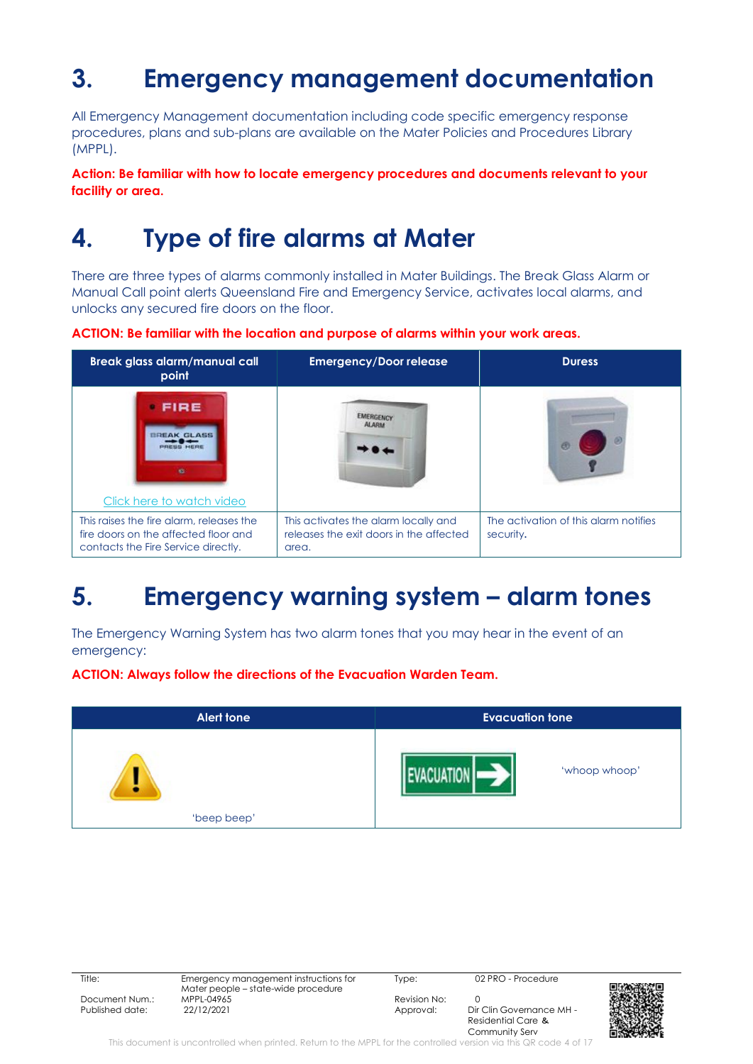# <span id="page-3-0"></span>**3. Emergency management documentation**

All Emergency Management documentation including code specific emergency response procedures, plans and sub-plans are available on the Mater Policies and Procedures Library (MPPL).

#### **Action: Be familiar with how to locate emergency procedures and documents relevant to your facility or area.**

## <span id="page-3-1"></span>**4. Type of fire alarms at Mater**

There are three types of alarms commonly installed in Mater Buildings. The Break Glass Alarm or Manual Call point alerts Queensland Fire and Emergency Service, activates local alarms, and unlocks any secured fire doors on the floor.

**ACTION: Be familiar with the location and purpose of alarms within your work areas.**



## <span id="page-3-2"></span>**5. Emergency warning system – alarm tones**

The Emergency Warning System has two alarm tones that you may hear in the event of an emergency:

**ACTION: Always follow the directions of the Evacuation Warden Team.**



| $\sim$ |
|--------|

Title: Emergency management instructions for Mater people – state-wide procedure Document Num.: MPPL-04965 Revision No: 0 Published date: 22/12/2021 2021 Approval: Dir Clin Governance MH -

Type: 02 PRO - Procedure

Residential Care & Community Serv



This document is uncontrolled when printed. Return to the MPPL for the controlled version via this QR code 4 of 17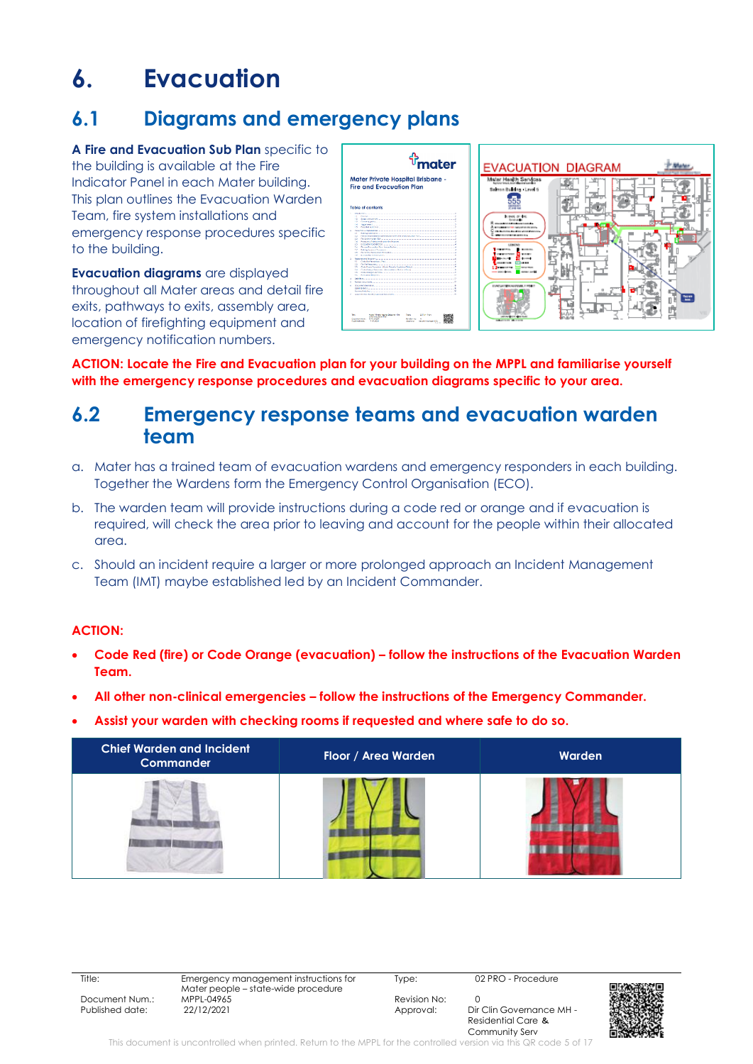## <span id="page-4-0"></span>**6. Evacuation**

### **6.1 Diagrams and emergency plans**

**A Fire and Evacuation Sub Plan** specific to the building is available at the Fire Indicator Panel in each Mater building. This plan outlines the Evacuation Warden Team, fire system installations and emergency response procedures specific to the building.

**Evacuation diagrams** are displayed throughout all Mater areas and detail fire exits, pathways to exits, assembly area, location of firefighting equipment and emergency notification numbers.



**ACTION: Locate the Fire and Evacuation plan for your building on the MPPL and familiarise yourself with the emergency response procedures and evacuation diagrams specific to your area.**

### **6.2 Emergency response teams and evacuation warden team**

- a. Mater has a trained team of evacuation wardens and emergency responders in each building. Together the Wardens form the Emergency Control Organisation (ECO).
- b. The warden team will provide instructions during a code red or orange and if evacuation is required, will check the area prior to leaving and account for the people within their allocated area.
- c. Should an incident require a larger or more prolonged approach an Incident Management Team (IMT) maybe established led by an Incident Commander.

#### **ACTION:**

- **Code Red (fire) or Code Orange (evacuation) – follow the instructions of the Evacuation Warden Team.**
- **All other non-clinical emergencies – follow the instructions of the Emergency Commander.**
- **Assist your warden with checking rooms if requested and where safe to do so.**



Title: Emergency management instructions for Mater people – state-wide procedure Document Num.: MPPL-04965 Revision No: 0 Published date: 22/12/2021 2001 2012 2014 2015 Approval: Dir Clin Governance MH

Type: 02 PRO - Procedure

Residential Care & Community Serv



This document is uncontrolled when printed. Return to the MPPL for the controlled version via this QR code 5 of 17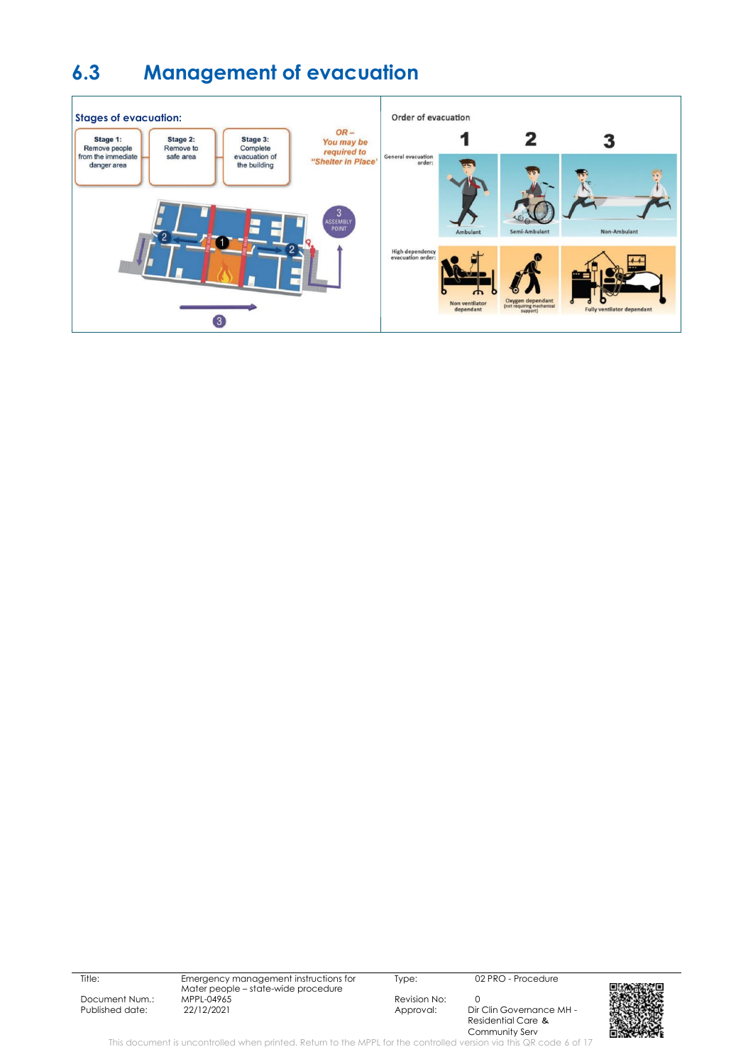### **6.3 Management of evacuation**



Title: Emergency management instructions for Mater people – state-wide procedure Document Num.: MPPL-04965 Revision No: 0

Type: 02 PRO - Procedure

Dir Clin Governance MH -Residential Care & Community Serv



This document is uncontrolled when printed. Return to the MPPL for the controlled version via this QR code 6 of 17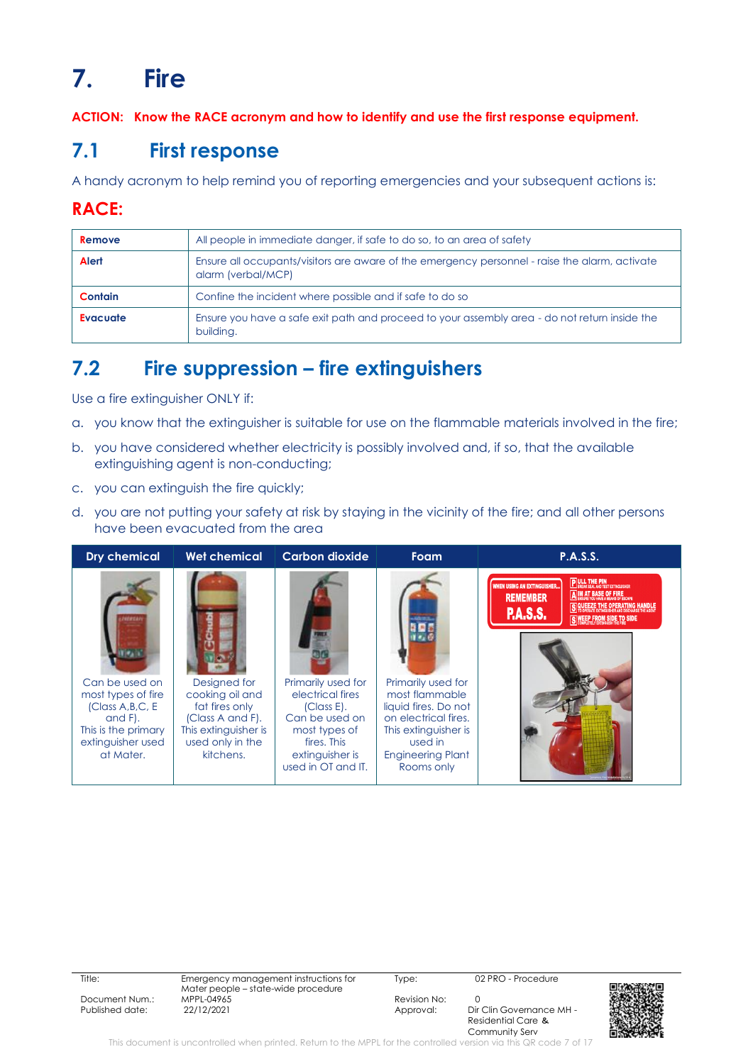# <span id="page-6-0"></span>**7. Fire**

**ACTION: Know the RACE acronym and how to identify and use the first response equipment.**

### **7.1 First response**

A handy acronym to help remind you of reporting emergencies and your subsequent actions is:

### **RACE:**

| Remove          | All people in immediate danger, if safe to do so, to an area of safety                                               |
|-----------------|----------------------------------------------------------------------------------------------------------------------|
| Alert           | Ensure all occupants/visitors are aware of the emergency personnel - raise the alarm, activate<br>alarm (verbal/MCP) |
| <b>Contain</b>  | Confine the incident where possible and if safe to do so                                                             |
| <b>Evacuate</b> | Ensure you have a safe exit path and proceed to your assembly area - do not return inside the<br>building.           |

### **7.2 Fire suppression – fire extinguishers**

Use a fire extinguisher ONLY if:

- a. you know that the extinguisher is suitable for use on the flammable materials involved in the fire;
- b. you have considered whether electricity is possibly involved and, if so, that the available extinguishing agent is non-conducting;
- c. you can extinguish the fire quickly;
- d. you are not putting your safety at risk by staying in the vicinity of the fire; and all other persons have been evacuated from the area



Title: Emergency management instructions for Mater people – state-wide procedure Document Num.: MPPL-04965 Mexision No: 0<br>
Published date: 22/12/2021 Published date: 22/12/2021 Published date: 22/12/2021 2021 Approval: Dir Clin Governance MH -

Type: 02 PRO - Procedure

Residential Care & Community Serv



This document is uncontrolled when printed. Return to the MPPL for the controlled version via this QR code 7 of 17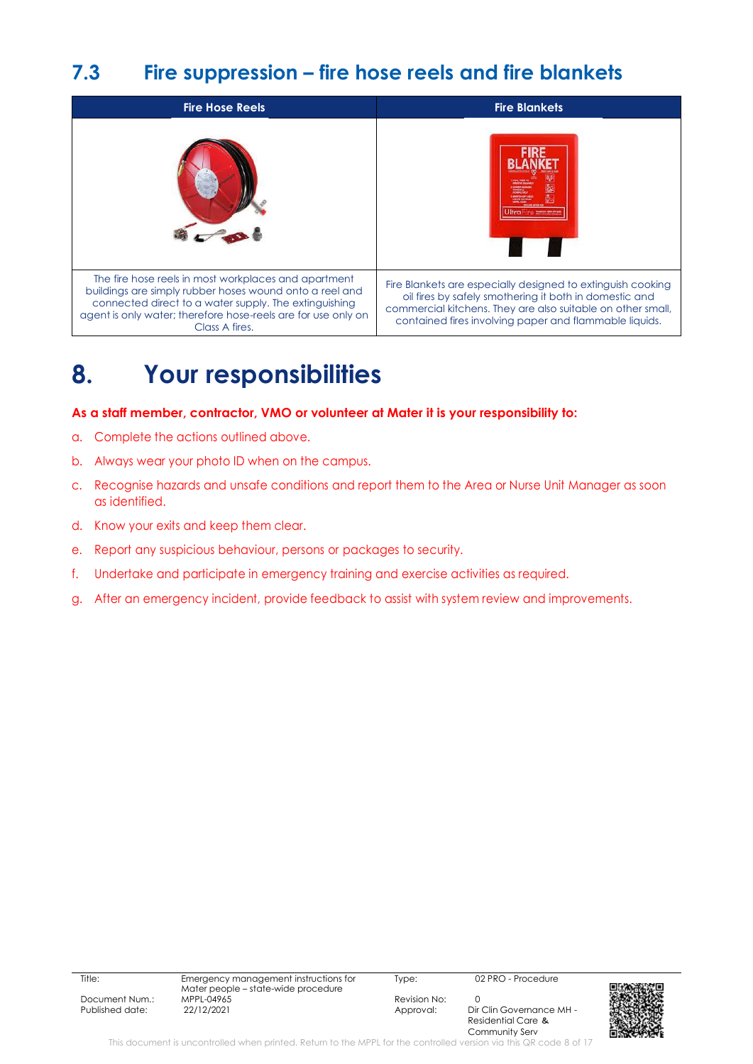### **7.3 Fire suppression – fire hose reels and fire blankets**



## <span id="page-7-0"></span>**8. Your responsibilities**

#### **As a staff member, contractor, VMO or volunteer at Mater it is your responsibility to:**

- a. Complete the actions outlined above.
- b. Always wear your photo ID when on the campus.
- c. Recognise hazards and unsafe conditions and report them to the Area or Nurse Unit Manager as soon as identified.
- d. Know your exits and keep them clear.
- e. Report any suspicious behaviour, persons or packages to security.
- f. Undertake and participate in emergency training and exercise activities as required.
- g. After an emergency incident, provide feedback to assist with system review and improvements.

| Document Nun |  |  |  |  |
|--------------|--|--|--|--|
| _            |  |  |  |  |

Type: 02 PRO - Procedure

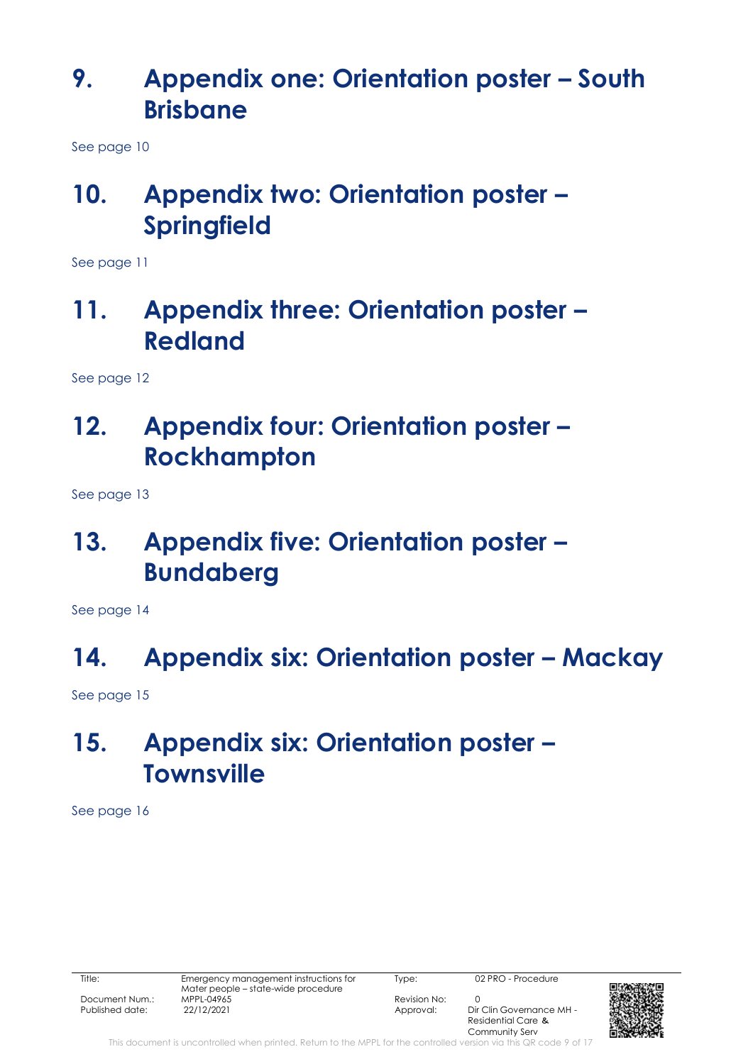## <span id="page-8-0"></span>**9. Appendix one: Orientation poster – South Brisbane**

See page 10

## <span id="page-8-1"></span>**10. Appendix two: Orientation poster – Springfield**

See page 11

### <span id="page-8-2"></span>**11. Appendix three: Orientation poster – Redland**

See page 12

## <span id="page-8-3"></span>**12. Appendix four: Orientation poster – Rockhampton**

See page 13

## <span id="page-8-4"></span>**13. Appendix five: Orientation poster – Bundaberg**

See page 14

## <span id="page-8-5"></span>14. **Appendix six: Orientation poster - Mackay**

See page 15

## <span id="page-8-6"></span>**15. Appendix six: Orientation poster – Townsville**

See page 16

Type: 02 PRO - Procedure

Residential Care & Community Serv

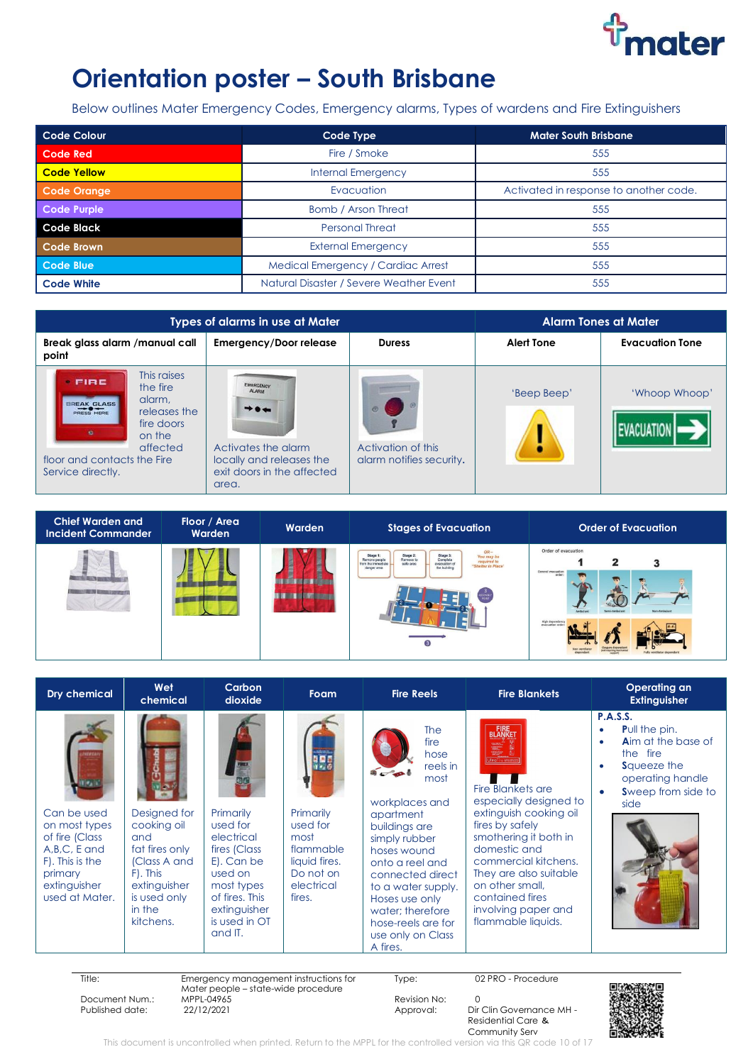

## **Orientation poster – South Brisbane**

Below outlines Mater Emergency Codes, Emergency alarms, Types of wardens and Fire Extinguishers

| <b>Code Colour</b> | Code Type                               | <b>Mater South Brisbane</b>            |
|--------------------|-----------------------------------------|----------------------------------------|
| <b>Code Red</b>    | Fire / Smoke                            | 555                                    |
| <b>Code Yellow</b> | <b>Internal Emergency</b>               | 555                                    |
| Code Orange        | Evacuation                              | Activated in response to another code. |
| Code Purple        | Bomb / Arson Threat                     | 555                                    |
| <b>Code Black</b>  | <b>Personal Threat</b>                  | 555                                    |
| <b>Code Brown</b>  | <b>External Emergency</b>               | 555                                    |
| Code Blue          | Medical Emergency / Cardiac Arrest      | 555                                    |
| <b>Code White</b>  | Natural Disaster / Severe Weather Event | 555                                    |

| <b>Types of alarms in use at Mater</b>                                                                                                                                                 |                                                                                                                                                                 | <b>Alarm Tones at Mater</b>                    |                   |                        |
|----------------------------------------------------------------------------------------------------------------------------------------------------------------------------------------|-----------------------------------------------------------------------------------------------------------------------------------------------------------------|------------------------------------------------|-------------------|------------------------|
| Break glass alarm / manual call<br>point                                                                                                                                               | <b>Emergency/Door release</b>                                                                                                                                   | <b>Duress</b>                                  | <b>Alert Tone</b> | <b>Evacuation Tone</b> |
| This raises<br>FIRE<br>the fire<br>alarm.<br>BREAK GLASS<br>releases the<br><b>PRESIS HERE</b><br>fire doors<br>on the<br>affected<br>floor and contacts the Fire<br>Service directly. | <b>EMERGENCY:</b><br><b>ALARM</b><br>$\rightarrow \bullet \leftarrow$<br>Activates the alarm<br>locally and releases the<br>exit doors in the affected<br>area. | Activation of this<br>alarm notifies security. | 'Beep Beep'       | 'Whoop Whoop'          |

| <b>Chief Warden and</b><br><b>Incident Commander</b> | Floor / Area<br>Warden | <b>Warden</b> | <b>Stages of Evacuation</b>                                                                                                                                                                                                                  | <b>Order of Evacuation</b>                                                                   |
|------------------------------------------------------|------------------------|---------------|----------------------------------------------------------------------------------------------------------------------------------------------------------------------------------------------------------------------------------------------|----------------------------------------------------------------------------------------------|
|                                                      |                        |               | $OR-$<br>Stage 2:<br>Stage 1<br>Stage 3:<br>You may be<br>Complete<br>evacuation of<br>Remove to<br>Remove people<br>required to<br>"Shelter in Place"<br>safe area<br>from the immediate<br>the building<br>danger area<br>$\left(3\right)$ | Order of evacuation<br>2<br>General evacuation<br>order<br>Non-Ambulard<br>supranition order |

| <b>Dry chemical</b>                                                                                                              | Wet<br>chemical                                                                                                                         | Carbon<br>dioxide                                                                                                                                        | Foam                                                                                             | <b>Fire Reels</b>                                                                                                                                                                                                                                                                                     | <b>Fire Blankets</b>                                                                                                                                                                                                                                                                                         | Operating an<br><b>Extinguisher</b>                                                                                                                                                              |
|----------------------------------------------------------------------------------------------------------------------------------|-----------------------------------------------------------------------------------------------------------------------------------------|----------------------------------------------------------------------------------------------------------------------------------------------------------|--------------------------------------------------------------------------------------------------|-------------------------------------------------------------------------------------------------------------------------------------------------------------------------------------------------------------------------------------------------------------------------------------------------------|--------------------------------------------------------------------------------------------------------------------------------------------------------------------------------------------------------------------------------------------------------------------------------------------------------------|--------------------------------------------------------------------------------------------------------------------------------------------------------------------------------------------------|
| Can be used<br>on most types<br>of fire (Class<br>A, B, C, E and<br>F). This is the<br>primary<br>extinguisher<br>used at Mater. | Designed for<br>cooking oil<br>and<br>fat fires only<br>(Class A and<br>F). This<br>extinguisher<br>is used only<br>in the<br>kitchens. | Primarily<br>used for<br>electrical<br>fires (Class<br>E). Can be<br>used on<br>most types<br>of fires. This<br>extinguisher<br>is used in OT<br>and IT. | Primarily<br>used for<br>most<br>flammable<br>liquid fires.<br>Do not on<br>electrical<br>fires. | <b>The</b><br>fire<br>hose<br>reels in<br>$\bullet$<br>most<br>workplaces and<br>apartment<br>buildings are<br>simply rubber<br>hoses wound<br>onto a reel and<br>connected direct<br>to a water supply.<br>Hoses use only<br>water: therefore<br>hose-reels are for<br>use only on Class<br>A fires. | <b>FIRE</b><br>BLANKET<br>F<br><b>Fire Blankets are</b><br>especially designed to<br>extinguish cooking oil<br>fires by safely<br>smothering it both in<br>domestic and<br>commercial kitchens.<br>They are also suitable<br>on other small,<br>contained fires<br>involving paper and<br>flammable liquids. | <b>P.A.S.S.</b><br><b>Pull the pin.</b><br>$\bullet$<br><b>Aim at the base of</b><br>$\bullet$<br>the fire<br><b>S</b> queeze the<br>$\bullet$<br>operating handle<br>Sweep from side to<br>side |

Title: Emergency management instructions for

Mater people – state-wide procedure Document Num.: MPPL-04965 Revision No: 0

Type: 02 PRO - Procedure

Dir Clin Governance MH -Residential Care & Community Serv



This document is uncontrolled when printed. Return to the MPPL for the controlled version via this QR code 10 of 17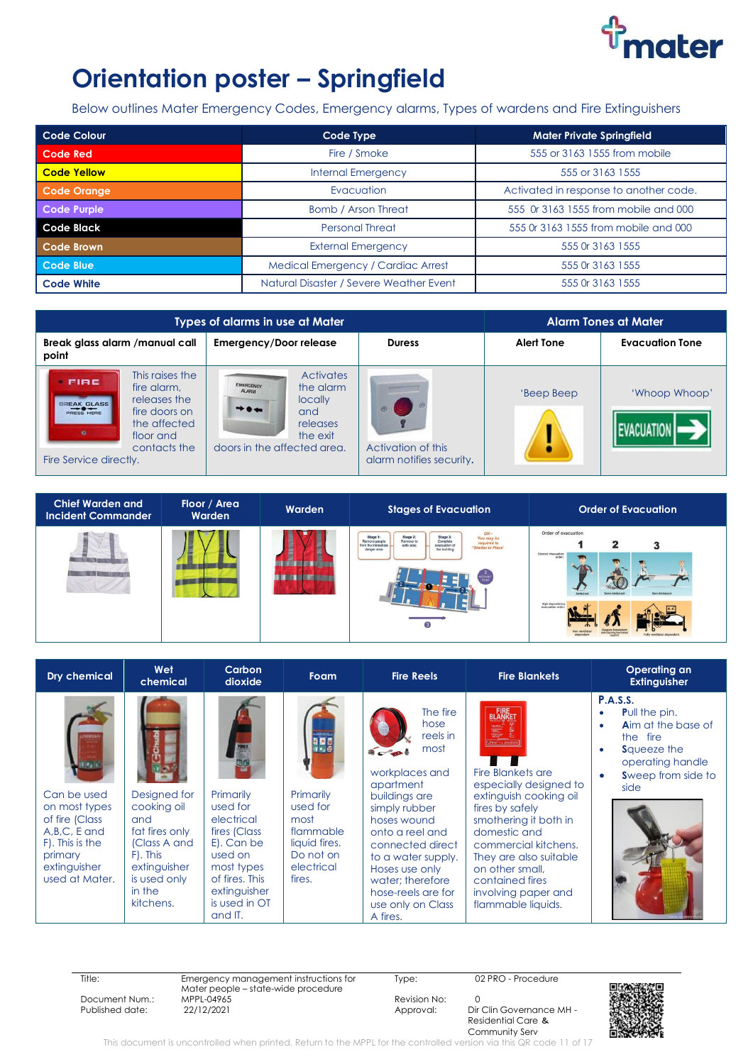

## **Orientation poster – Springfield**

Below outlines Mater Emergency Codes, Emergency alarms, Types of wardens and Fire Extinguishers

| <b>Code Colour</b> | Code Type                               | <b>Mater Private Springfield</b>       |
|--------------------|-----------------------------------------|----------------------------------------|
| <b>Code Red</b>    | Fire / Smoke                            | 555 or 3163 1555 from mobile           |
| <b>Code Yellow</b> | <b>Internal Emergency</b>               | 555 or 3163 1555                       |
| Code Orange        | Evacuation                              | Activated in response to another code. |
| <b>Code Purple</b> | Bomb / Arson Threat                     | 555 Or 3163 1555 from mobile and 000   |
| <b>Code Black</b>  | <b>Personal Threat</b>                  | 555 0r 3163 1555 from mobile and 000   |
| Code Brown         | <b>External Emergency</b>               | 555 Or 3163 1555                       |
| Code Blue          | Medical Emergency / Cardiac Arrest      | 555 Or 3163 1555                       |
| <b>Code White</b>  | Natural Disaster / Severe Weather Event | 555 Or 3163 1555                       |

| Types of alarms in use at Mater                                                                                                                                                    |                                                                                                                                                     | <b>Alarm Tones at Mater</b>                    |                   |                        |
|------------------------------------------------------------------------------------------------------------------------------------------------------------------------------------|-----------------------------------------------------------------------------------------------------------------------------------------------------|------------------------------------------------|-------------------|------------------------|
| Break glass alarm /manual call<br>point                                                                                                                                            | Emergency/Door release                                                                                                                              | <b>Duress</b>                                  | <b>Alert Tone</b> | <b>Evacuation Tone</b> |
| This raises the<br><b>FIRE</b><br>fire alarm.<br>releases the<br>BREAK GLASS<br>PRESS HERE<br>fire doors on<br>the affected<br>floor and<br>contacts the<br>Fire Service directly. | <b>Activates</b><br><b>EMERGENCY</b><br>the alarm<br><b>ALARM</b><br>locally<br>$+ +$<br>and<br>releases<br>the exit<br>doors in the affected area. | Activation of this<br>alarm notifies security. | 'Beep Beep        | 'Whoop Whoop'          |



| <b>Dry chemical</b>                                                                                                              | Wet<br>chemical                                                                                                                         | Carbon<br>dioxide                                                                                                                                        | <b>Foam</b>                                                                                      | <b>Fire Reels</b>                                                                                                                                                                                                                                                              | <b>Fire Blankets</b>                                                                                                                                                                                                                                                                             | Operating an<br><b>Extinguisher</b>                                                                                                                                      |
|----------------------------------------------------------------------------------------------------------------------------------|-----------------------------------------------------------------------------------------------------------------------------------------|----------------------------------------------------------------------------------------------------------------------------------------------------------|--------------------------------------------------------------------------------------------------|--------------------------------------------------------------------------------------------------------------------------------------------------------------------------------------------------------------------------------------------------------------------------------|--------------------------------------------------------------------------------------------------------------------------------------------------------------------------------------------------------------------------------------------------------------------------------------------------|--------------------------------------------------------------------------------------------------------------------------------------------------------------------------|
| Can be used<br>on most types<br>of fire (Class<br>A, B, C, E and<br>F). This is the<br>primary<br>extinguisher<br>used at Mater. | Designed for<br>cooking oil<br>and<br>fat fires only<br>(Class A and<br>F). This<br>extinguisher<br>is used only<br>in the<br>kitchens. | Primarily<br>used for<br>electrical<br>fires (Class<br>E). Can be<br>used on<br>most types<br>of fires. This<br>extinguisher<br>is used in OT<br>and IT. | Primarily<br>used for<br>most<br>flammable<br>liquid fires.<br>Do not on<br>electrical<br>fires. | The fire<br>hose<br>reels in<br>most<br>workplaces and<br>apartment<br>buildings are<br>simply rubber<br>hoses wound<br>onto a reel and<br>connected direct<br>to a water supply.<br>Hoses use only<br>water: therefore<br>hose-reels are for<br>use only on Class<br>A fires. | <b>FIRE</b><br>BLANKET<br>Fire Blankets are<br>especially designed to<br>extinguish cooking oil<br>fires by safely<br>smothering it both in<br>domestic and<br>commercial kitchens.<br>They are also suitable<br>on other small.<br>contained fires<br>involving paper and<br>flammable liquids. | <b>P.A.S.S.</b><br><b>Pull the pin.</b><br>٠<br><b>Aim at the base of</b><br>٠<br>the fire<br><b>S</b> queeze the<br>٠<br>operating handle<br>Sweep from side to<br>side |

Title: Emergency management instructions for Mater people – state-wide procedure Document Num.: MPPL-04965 Revision No: 0

Type: 02 PRO - Procedure

Dir Clin Governance MH -Residential Care & Community Serv



This document is uncontrolled when printed. Return to the MPPL for the controlled version via this QR code 11 of 17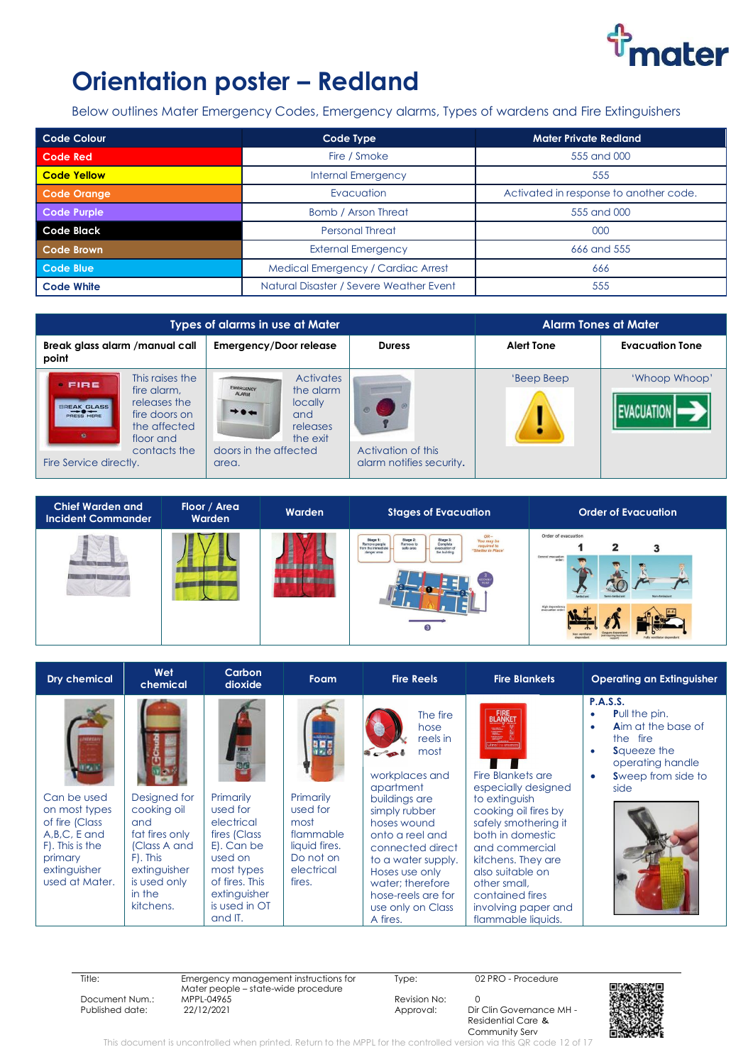

# **Orientation poster - Redland**

Below outlines Mater Emergency Codes, Emergency alarms, Types of wardens and Fire Extinguishers

| Code Colour        | Code Type                               | <b>Mater Private Redland</b>           |
|--------------------|-----------------------------------------|----------------------------------------|
| <b>Code Red</b>    | Fire / Smoke                            | 555 and 000                            |
| <b>Code Yellow</b> | <b>Internal Emergency</b>               | 555                                    |
| Code Orange        | Evacuation                              | Activated in response to another code. |
| Code Purple        | Bomb / Arson Threat                     | 555 and 000                            |
| Code Black         | <b>Personal Threat</b>                  | 000                                    |
| Code Brown         | <b>External Emergency</b>               | 666 and 555                            |
| Code Blue          | Medical Emergency / Cardiac Arrest      | 666                                    |
| <b>Code White</b>  | Natural Disaster / Severe Weather Event | 555                                    |

| Types of alarms in use at Mater                                                                                                          |                                                                                                                   | <b>Alarm Tones at Mater</b>                    |                   |                        |
|------------------------------------------------------------------------------------------------------------------------------------------|-------------------------------------------------------------------------------------------------------------------|------------------------------------------------|-------------------|------------------------|
| Break glass alarm /manual call<br>point                                                                                                  | <b>Emergency/Door release</b>                                                                                     | <b>Duress</b>                                  | <b>Alert Tone</b> | <b>Evacuation Tone</b> |
| This raises the<br>FIRE<br>fire alarm.<br>releases the<br>THEAK GLASS<br>fire doors on<br><b>PRESS HERE</b><br>the affected<br>floor and | <b>Activates</b><br><b>EMERGENCY</b><br>the alarm<br><b>locally</b><br>$+ \cdot +$<br>and<br>releases<br>the exit |                                                | 'Beep Beep        | 'Whoop Whoop'          |
| contacts the<br>Fire Service directly.                                                                                                   | doors in the affected<br>area.                                                                                    | Activation of this<br>alarm notifies security. |                   |                        |



| <b>Dry chemical</b>                                                                                                              | Wet<br>chemical                                                                                                                         | Carbon<br>dioxide                                                                                                                                        | Foam                                                                                             | <b>Fire Reels</b>                                                                                                                                                                                                                                                              | <b>Fire Blankets</b>                                                                                                                                                                                                                                                                         | <b>Operating an Extinguisher</b>                                                                                                                                                                              |
|----------------------------------------------------------------------------------------------------------------------------------|-----------------------------------------------------------------------------------------------------------------------------------------|----------------------------------------------------------------------------------------------------------------------------------------------------------|--------------------------------------------------------------------------------------------------|--------------------------------------------------------------------------------------------------------------------------------------------------------------------------------------------------------------------------------------------------------------------------------|----------------------------------------------------------------------------------------------------------------------------------------------------------------------------------------------------------------------------------------------------------------------------------------------|---------------------------------------------------------------------------------------------------------------------------------------------------------------------------------------------------------------|
| Can be used<br>on most types<br>of fire (Class<br>$A,B,C, E$ and<br>F). This is the<br>primary<br>extinguisher<br>used at Mater. | Designed for<br>cooking oil<br>and<br>fat fires only<br>(Class A and<br>F). This<br>extinguisher<br>is used only<br>in the<br>kitchens. | Primarily<br>used for<br>electrical<br>fires (Class<br>E). Can be<br>used on<br>most types<br>of fires. This<br>extinguisher<br>is used in OT<br>and IT. | Primarily<br>used for<br>most<br>flammable<br>liquid fires.<br>Do not on<br>electrical<br>fires. | The fire<br>hose<br>reels in<br>most<br>workplaces and<br>apartment<br>buildings are<br>simply rubber<br>hoses wound<br>onto a reel and<br>connected direct<br>to a water supply.<br>Hoses use only<br>water: therefore<br>hose-reels are for<br>use only on Class<br>A fires. | Ultra Fina area<br>Fire Blankets are<br>especially designed<br>to extinguish<br>cooking oil fires by<br>safely smothering it<br>both in domestic<br>and commercial<br>kitchens. They are<br>also suitable on<br>other small,<br>contained fires<br>involving paper and<br>flammable liquids. | <b>P.A.S.S.</b><br><b>Pull the pin.</b><br>$\bullet$<br><b>Aim at the base of</b><br>$\bullet$<br>the fire<br><b>S</b> queeze the<br>$\bullet$<br>operating handle<br>Sweep from side to<br>$\bullet$<br>side |

| Title:          | Emergency management instructions for<br>Mater people – state-wide procedure | Tvpe:        | 02 PRO - Procedure       |  |
|-----------------|------------------------------------------------------------------------------|--------------|--------------------------|--|
| Document Num.:  | MPPL-04965                                                                   | Revision No: |                          |  |
| Published date: | 22/12/2021                                                                   | Approval:    | Dir Clin Governance MH - |  |
|                 |                                                                              |              | Residential Care &       |  |
|                 |                                                                              |              | Community Serv           |  |

This document is uncontrolled when printed. Return to the MPPL for the controlled version via this QR code 12 of 17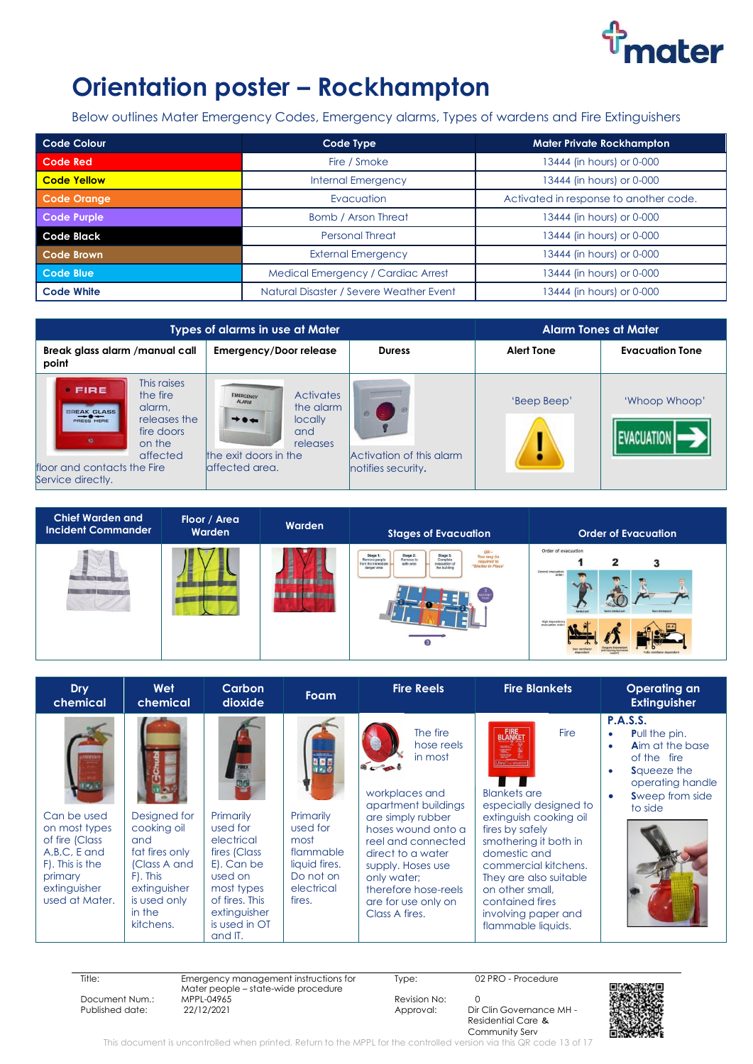

## **Orientation poster – Rockhampton**

Below outlines Mater Emergency Codes, Emergency alarms, Types of wardens and Fire Extinguishers

| Code Colour        | Code Type                               | <b>Mater Private Rockhampton</b>       |
|--------------------|-----------------------------------------|----------------------------------------|
| <b>Code Red</b>    | Fire / Smoke                            | 13444 (in hours) or 0-000              |
| <b>Code Yellow</b> | <b>Internal Emergency</b>               | 13444 (in hours) or 0-000              |
| Code Orange        | Evacuation                              | Activated in response to another code. |
| Code Purple        | <b>Bomb / Arson Threat</b>              | 13444 (in hours) or 0-000              |
| Code Black         | <b>Personal Threat</b>                  | 13444 (in hours) or 0-000              |
| Code Brown         | <b>External Emergency</b>               | 13444 (in hours) or 0-000              |
| Code Blue          | Medical Emergency / Cardiac Arrest      | 13444 (in hours) or 0-000              |
| <b>Code White</b>  | Natural Disaster / Severe Weather Event | 13444 (in hours) or 0-000              |

|                                                                                                                       | Types of alarms in use at Mater                                                                                        | <b>Alarm Tones at Mater</b>                    |                   |                        |
|-----------------------------------------------------------------------------------------------------------------------|------------------------------------------------------------------------------------------------------------------------|------------------------------------------------|-------------------|------------------------|
| Break glass alarm / manual call<br>point                                                                              | <b>Emergency/Door release</b>                                                                                          | <b>Duress</b>                                  | <b>Alert Tone</b> | <b>Evacuation Tone</b> |
| This raises<br>FIRE<br>the fire<br>alarm.<br><b>BREAK GLASS</b><br>PRESS HERE<br>releases the<br>fire doors<br>on the | <b>Activates</b><br><b>EMERGENCY:</b><br><b>ALARM</b><br>the alarm<br>$+ \cdot +$<br><b>locally</b><br>and<br>releases |                                                | 'Beep Beep'       | 'Whoop Whoop'          |
| affected<br>floor and contacts the Fire<br>Service directly.                                                          | the exit doors in the<br>laffected area.                                                                               | Activation of this alarm<br>notifies security. |                   |                        |

| <b>Chief Warden and</b><br><b>Incident Commander</b> | Floor / Area<br>Warden | Warden | <b>Stages of Evacuation</b>                                                                                                                                                                                                                    | <b>Order of Evacuation</b>                                                                |
|------------------------------------------------------|------------------------|--------|------------------------------------------------------------------------------------------------------------------------------------------------------------------------------------------------------------------------------------------------|-------------------------------------------------------------------------------------------|
|                                                      |                        |        | $OR -$<br>Stage 2:<br>Stage 3:<br>Complete<br>Stage 1:<br>You may be<br>Remove to<br>Remove people<br>required to<br>"Shelter in Place"<br>from the immediate<br>safe area<br>evacuation of<br>the building<br>danger area<br>$\left(3\right)$ | Order of evacuation<br>2<br>General evacuation<br>order<br>Non-Ambulan<br>High dependence |

| <b>Dry</b><br>chemical                                                                                                           | Wet<br>chemical                                                                                                                         | Carbon<br>dioxide                                                                                                                                        | <b>Foam</b>                                                                                      | <b>Fire Reels</b>                                                                                                                                                                                                                                                     | <b>Fire Blankets</b>                                                                                                                                                                                                                                                                                                                                       | <b>Operating an</b><br><b>Extinguisher</b>                                                                                                                                                                    |
|----------------------------------------------------------------------------------------------------------------------------------|-----------------------------------------------------------------------------------------------------------------------------------------|----------------------------------------------------------------------------------------------------------------------------------------------------------|--------------------------------------------------------------------------------------------------|-----------------------------------------------------------------------------------------------------------------------------------------------------------------------------------------------------------------------------------------------------------------------|------------------------------------------------------------------------------------------------------------------------------------------------------------------------------------------------------------------------------------------------------------------------------------------------------------------------------------------------------------|---------------------------------------------------------------------------------------------------------------------------------------------------------------------------------------------------------------|
| Can be used<br>on most types<br>of fire (Class<br>A, B, C, E and<br>F). This is the<br>primary<br>extinguisher<br>used at Mater. | Designed for<br>cooking oil<br>and<br>fat fires only<br>(Class A and<br>F). This<br>extinguisher<br>is used only<br>in the<br>kitchens. | Primarily<br>used for<br>electrical<br>fires (Class<br>E). Can be<br>used on<br>most types<br>of fires. This<br>extinguisher<br>is used in OT<br>and IT. | Primarily<br>used for<br>most<br>flammable<br>liquid fires.<br>Do not on<br>electrical<br>fires. | The fire<br>hose reels<br>in most<br>workplaces and<br>apartment buildings<br>are simply rubber<br>hoses wound onto a<br>reel and connected<br>direct to a water<br>supply. Hoses use<br>only water:<br>therefore hose-reels<br>are for use only on<br>Class A fires. | <b>FIRE</b><br>BLANKET<br><b>Fire</b><br><b>TELESTING</b><br>Ultro Fire armana<br><b>Blankets</b> are<br>especially designed to<br>extinguish cooking oil<br>fires by safely<br>smothering it both in<br>domestic and<br>commercial kitchens.<br>They are also suitable<br>on other small,<br>contained fires<br>involving paper and<br>flammable liquids. | <b>P.A.S.S.</b><br><b>Pull the pin.</b><br>$\bullet$<br><b>Aim at the base</b><br>$\bullet$<br>of the fire<br><b>S</b> queeze the<br>$\bullet$<br>operating handle<br>Sweep from side<br>$\bullet$<br>to side |

| Title:            | Emergency management instructions for | Tvpe:        | 02 PRO - Procedure       |      |
|-------------------|---------------------------------------|--------------|--------------------------|------|
|                   | Mater people – state-wide procedure   |              |                          |      |
| Document Num.:    | MPPL-04965                            | Revision No: |                          |      |
| Published date: . | 22/12/2021                            | Approval:    | Dir Clin Governance MH - |      |
|                   |                                       |              | Residential Care &       | 3332 |



Community Serv This document is uncontrolled when printed. Return to the MPPL for the controlled version via this QR code 13 of 17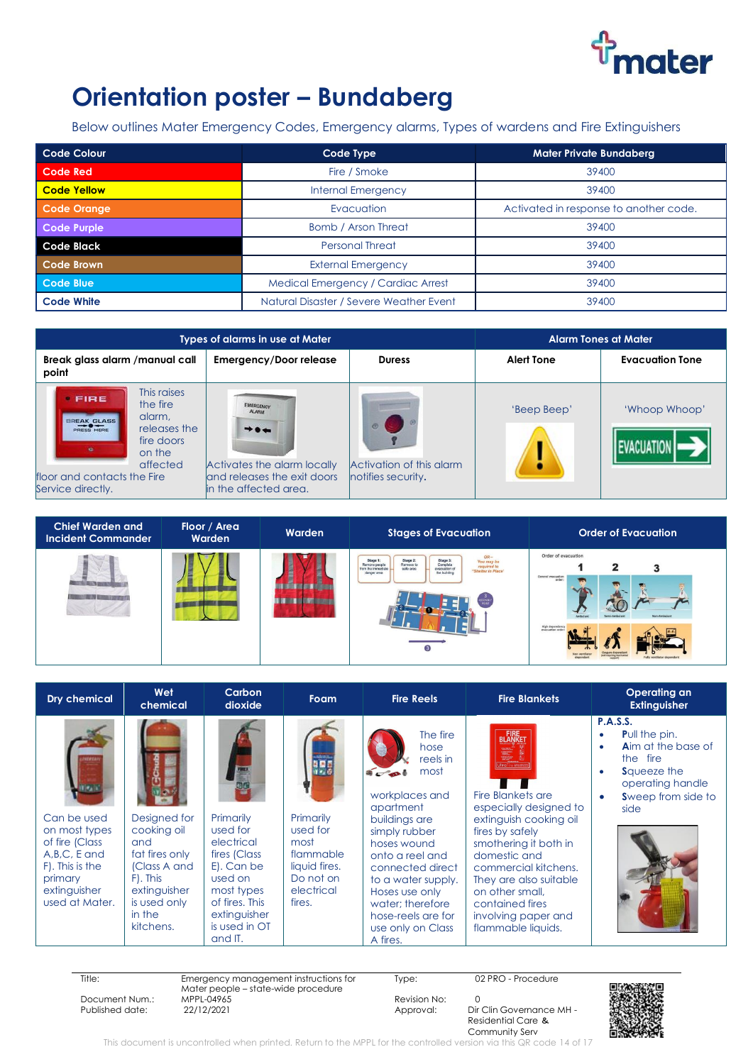

### **Orientation poster - Bundaberg**

Below outlines Mater Emergency Codes, Emergency alarms, Types of wardens and Fire Extinguishers

| <b>Code Colour</b> | Code Type                               | <b>Mater Private Bundaberg</b>         |
|--------------------|-----------------------------------------|----------------------------------------|
| <b>Code Red</b>    | Fire / Smoke                            | 39400                                  |
| <b>Code Yellow</b> | <b>Internal Emergency</b>               | 39400                                  |
| <b>Code Orange</b> | Evacuation                              | Activated in response to another code. |
| <b>Code Purple</b> | Bomb / Arson Threat                     | 39400                                  |
| <b>Code Black</b>  | <b>Personal Threat</b>                  | 39400                                  |
| <b>Code Brown</b>  | <b>External Emergency</b>               | 39400                                  |
| Code Blue          | Medical Emergency / Cardiac Arrest      | 39400                                  |
| <b>Code White</b>  | Natural Disaster / Severe Weather Event | 39400                                  |

|                                                                                                                                                                                                      | Types of alarms in use at Mater                                                                                           |                                                | <b>Alarm Tones at Mater</b> |                        |
|------------------------------------------------------------------------------------------------------------------------------------------------------------------------------------------------------|---------------------------------------------------------------------------------------------------------------------------|------------------------------------------------|-----------------------------|------------------------|
| Break glass alarm / manual call<br>point                                                                                                                                                             | <b>Emergency/Door release</b>                                                                                             | <b>Duress</b>                                  | <b>Alert Tone</b>           | <b>Evacuation Tone</b> |
| This raises<br>FIRE<br>the fire<br>alarm.<br>BREAK GLASS<br>releases the<br><b>PRESS HERE</b><br>fire doors<br><b>Tale</b><br>on the<br>affected<br>floor and contacts the Fire<br>Service directly. | <b>EMERGENCY</b><br>$+ +$<br>Activates the alarm locally<br>land releases the exit doors<br><b>lin</b> the affected area. | Activation of this alarm<br>notifies security. | 'Beep Beep'                 | 'Whoop Whoop'          |

| <b>Chief Warden and</b><br><b>Incident Commander</b> | Floor / Area<br>Warden | Warden | <b>Stages of Evacuation</b>                                                                                                                                                                                                             | <b>Order of Evacuation</b>                                                                                       |
|------------------------------------------------------|------------------------|--------|-----------------------------------------------------------------------------------------------------------------------------------------------------------------------------------------------------------------------------------------|------------------------------------------------------------------------------------------------------------------|
|                                                      |                        |        | $OR-$<br>Stage 2:<br>Stage 3:<br>Stage 1:<br>You may be<br>Remove to<br>Complete<br>Remove people<br>required to<br>"Shelter in Place"<br>safe area<br>evacuation of<br>from the immediate<br>the building<br>danger area<br>$\sqrt{3}$ | Order of evacuation<br>2<br>General evacuation<br>order:<br>Non-Ambularo<br>High dependency<br>everyation order: |

| <b>Dry chemical</b>                                                                                                              | Wet<br>chemical                                                                                                                         | Carbon<br>dioxide                                                                                                                                        | Foam                                                                                             | <b>Fire Reels</b>                                                                                                                                                                                                                                                              | <b>Fire Blankets</b>                                                                                                                                                                                                                                                                                    | <b>Operating an</b><br><b>Extinguisher</b>                                                                                                                                 |
|----------------------------------------------------------------------------------------------------------------------------------|-----------------------------------------------------------------------------------------------------------------------------------------|----------------------------------------------------------------------------------------------------------------------------------------------------------|--------------------------------------------------------------------------------------------------|--------------------------------------------------------------------------------------------------------------------------------------------------------------------------------------------------------------------------------------------------------------------------------|---------------------------------------------------------------------------------------------------------------------------------------------------------------------------------------------------------------------------------------------------------------------------------------------------------|----------------------------------------------------------------------------------------------------------------------------------------------------------------------------|
| Can be used<br>on most types<br>of fire (Class<br>A, B, C, E and<br>F). This is the<br>primary<br>extinguisher<br>used at Mater. | Designed for<br>cooking oil<br>and<br>fat fires only<br>(Class A and<br>F). This<br>extinguisher<br>is used only<br>in the<br>kitchens. | Primarily<br>used for<br>electrical<br>fires (Class<br>E). Can be<br>used on<br>most types<br>of fires. This<br>extinguisher<br>is used in OT<br>and IT. | Primarily<br>used for<br>most<br>flammable<br>liquid fires.<br>Do not on<br>electrical<br>fires. | The fire<br>hose<br>reels in<br>most<br>workplaces and<br>apartment<br>buildings are<br>simply rubber<br>hoses wound<br>onto a reel and<br>connected direct<br>to a water supply.<br>Hoses use only<br>water: therefore<br>hose-reels are for<br>use only on Class<br>A fires. | <b>FIRE</b><br>BLANKET<br><b>Fire Blankets are</b><br>especially designed to<br>extinguish cooking oil<br>fires by safely<br>smothering it both in<br>domestic and<br>commercial kitchens.<br>They are also suitable<br>on other small.<br>contained fires<br>involving paper and<br>flammable liquids. | <b>P.A.S.S.</b><br><b>Pull the pin.</b><br><b>Aim at the base of</b><br>٠<br>the fire<br><b>S</b> queeze the<br>٠<br>operating handle<br><b>Sweep from side to</b><br>side |

| нте:            |
|-----------------|
| Document Num.:  |
| Published date: |

Title: Emergency management instructions for Mater people – state-wide procedure MPPL-04965 Revision No: 0<br>22/12/2021 2011 20: 20: Approval: Dir Published date: 22/12/2021 2021 Approval: Dir Clin Governance MH -

Type: 02 PRO - Procedure

Residential Care & Community Serv



This document is uncontrolled when printed. Return to the MPPL for the controlled version via this QR code 14 of 17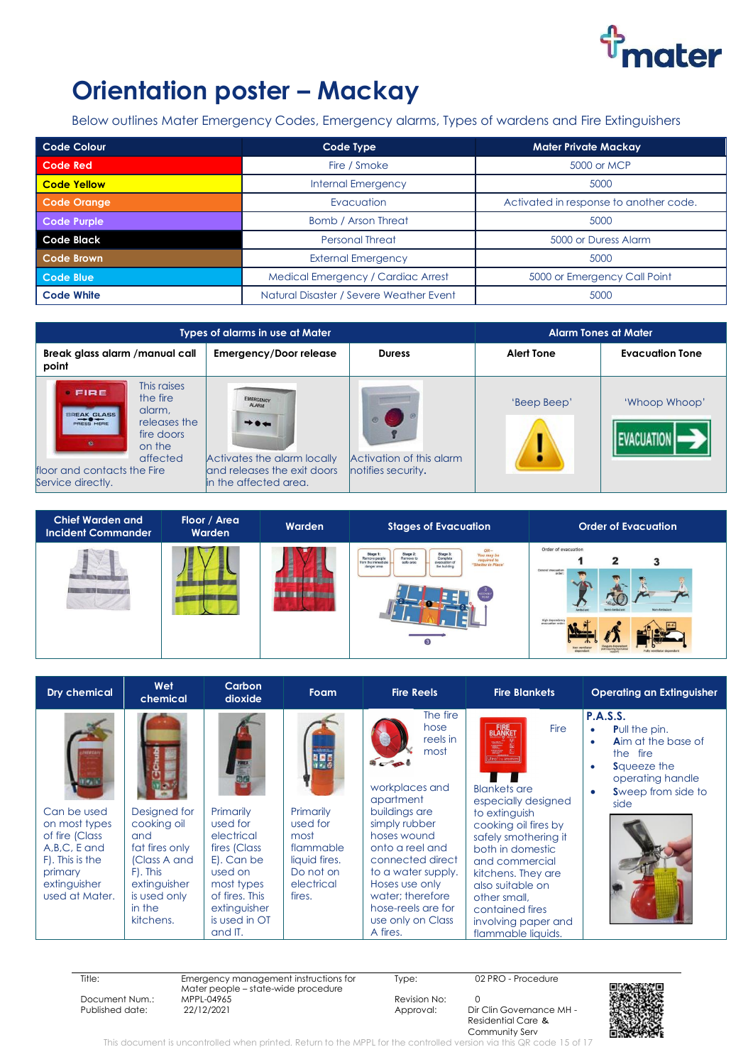

## **Orientation poster - Mackay**

Below outlines Mater Emergency Codes, Emergency alarms, Types of wardens and Fire Extinguishers

| <b>Code Colour</b> | Code Type                               | <b>Mater Private Mackay</b>            |  |
|--------------------|-----------------------------------------|----------------------------------------|--|
| <b>Code Red</b>    | Fire / Smoke                            | 5000 or MCP                            |  |
| <b>Code Yellow</b> | <b>Internal Emergency</b>               | 5000                                   |  |
| <b>Code Orange</b> | Evacuation                              | Activated in response to another code. |  |
| <b>Code Purple</b> | <b>Bomb / Arson Threat</b>              | 5000                                   |  |
| <b>Code Black</b>  | <b>Personal Threat</b>                  | 5000 or Duress Alarm                   |  |
| <b>Code Brown</b>  | <b>External Emergency</b>               | 5000                                   |  |
| Code Blue          | Medical Emergency / Cardiac Arrest      | 5000 or Emergency Call Point           |  |
| <b>Code White</b>  | Natural Disaster / Severe Weather Event | 5000                                   |  |

| Types of alarms in use at Mater                                                                                                                                               | <b>Alarm Tones at Mater</b>                                                                                              |                                                |                   |                        |
|-------------------------------------------------------------------------------------------------------------------------------------------------------------------------------|--------------------------------------------------------------------------------------------------------------------------|------------------------------------------------|-------------------|------------------------|
| Break glass alarm / manual call<br>point                                                                                                                                      | <b>Emergency/Door release</b>                                                                                            | <b>Duress</b>                                  | <b>Alert Tone</b> | <b>Evacuation Tone</b> |
| This raises<br>FIRE<br>the fire<br>alarm.<br>BREAK GLASS<br>releases the<br>fire doors<br>$\bullet$<br>on the<br>affected<br>floor and contacts the Fire<br>Service directly. | <b>EMERGENCY</b><br>$+ \cdot +$<br>Activates the alarm locally<br>land releases the exit doors<br>lin the affected area. | Activation of this alarm<br>notifies security. | 'Beep Beep'       | 'Whoop Whoop'          |

| <b>Chief Warden and</b><br><b>Incident Commander</b> | Floor / Area<br>Warden | Warden | <b>Stages of Evacuation</b>                                                                                                                                                                                                                | <b>Order of Evacuation</b>                                                                  |
|------------------------------------------------------|------------------------|--------|--------------------------------------------------------------------------------------------------------------------------------------------------------------------------------------------------------------------------------------------|---------------------------------------------------------------------------------------------|
|                                                      |                        |        | OR-<br>Stage 2:<br>Remove to<br>Stage 3:<br>Complete<br>Stage 1<br>You may be<br>Remove people<br>required to<br>"Shelter in Place"<br>safe area<br>evacuation of<br>from the immediate<br>the building<br>danger area<br>$\left(3\right)$ | Order of evacuation<br>2<br>General evacuation<br>order<br>Non-Ambulard<br>evacuation order |

| <b>Dry chemical</b>                                                                                                              | Wet<br>chemical                                                                                                                         | Carbon<br>dioxide                                                                                                                                        | <b>Foam</b>                                                                                      | <b>Fire Reels</b>                                                                                                                                                                                                                                                                            | <b>Fire Blankets</b>                                                                                                                                                                                                                                                                                          | <b>Operating an Extinguisher</b>                                                                                                                                                                              |
|----------------------------------------------------------------------------------------------------------------------------------|-----------------------------------------------------------------------------------------------------------------------------------------|----------------------------------------------------------------------------------------------------------------------------------------------------------|--------------------------------------------------------------------------------------------------|----------------------------------------------------------------------------------------------------------------------------------------------------------------------------------------------------------------------------------------------------------------------------------------------|---------------------------------------------------------------------------------------------------------------------------------------------------------------------------------------------------------------------------------------------------------------------------------------------------------------|---------------------------------------------------------------------------------------------------------------------------------------------------------------------------------------------------------------|
| Can be used<br>on most types<br>of fire (Class<br>A, B, C, E and<br>F). This is the<br>primary<br>extinguisher<br>used at Mater. | Designed for<br>cooking oil<br>and<br>fat fires only<br>(Class A and<br>F). This<br>extinguisher<br>is used only<br>in the<br>kitchens. | Primarily<br>used for<br>electrical<br>fires (Class<br>E). Can be<br>used on<br>most types<br>of fires. This<br>extinguisher<br>is used in OT<br>and IT. | Primarily<br>used for<br>most<br>flammable<br>liquid fires.<br>Do not on<br>electrical<br>fires. | The fire<br>hose<br>reels in<br>most<br>$\sqrt{2}$<br>workplaces and<br>apartment<br>buildings are<br>simply rubber<br>hoses wound<br>onto a reel and<br>connected direct<br>to a water supply.<br>Hoses use only<br>water; therefore<br>hose-reels are for<br>use only on Class<br>A fires. | <b>FIRE</b><br>BLANKET<br>Fire<br><b>Blankets are</b><br>especially designed<br>to extinguish<br>cooking oil fires by<br>safely smothering it<br>both in domestic<br>and commercial<br>kitchens. They are<br>also suitable on<br>other small.<br>contained fires<br>involving paper and<br>flammable liquids. | <b>P.A.S.S.</b><br><b>Pull the pin.</b><br>$\bullet$<br><b>Aim at the base of</b><br>$\bullet$<br>the fire<br><b>S</b> queeze the<br>$\bullet$<br>operating handle<br>Sweep from side to<br>$\bullet$<br>side |

| Title:          | Emergency management instructions for<br>Mater people – state-wide procedure | Tvpe:        | 02 PRO - Procedure       |  |
|-----------------|------------------------------------------------------------------------------|--------------|--------------------------|--|
| Document Num.:  | MPPL-04965                                                                   | Revision No: |                          |  |
| Published date: | 22/12/2021                                                                   | Approval:    | Dir Clin Governance MH - |  |
|                 |                                                                              |              | Residential Care &       |  |
|                 |                                                                              |              |                          |  |
|                 |                                                                              |              | Community Serv           |  |

Community Serv This document is uncontrolled when printed. Return to the MPPL for the controlled version via this QR code 15 of 17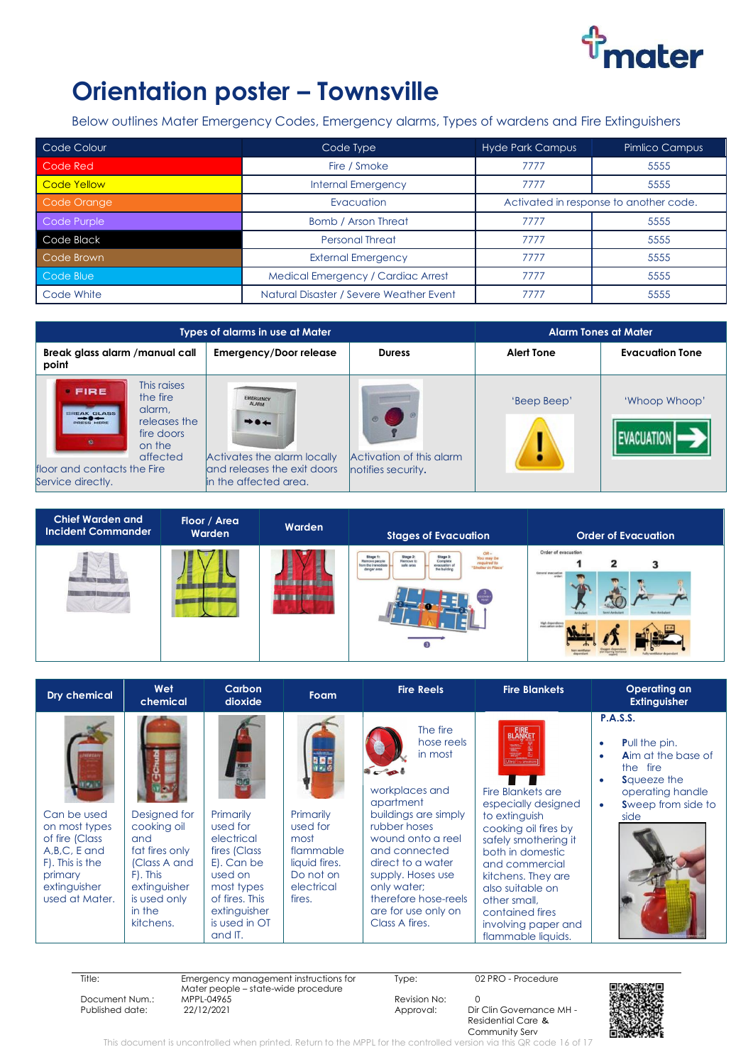

### **Orientation poster - Townsville**

Below outlines Mater Emergency Codes, Emergency alarms, Types of wardens and Fire Extinguishers

| Code Colour        | Code Type                               | <b>Hyde Park Campus</b>                | Pimlico Campus |
|--------------------|-----------------------------------------|----------------------------------------|----------------|
| Code Red           | Fire / Smoke                            | 7777                                   | 5555           |
| <b>Code Yellow</b> | <b>Internal Emergency</b>               | 7777                                   | 5555           |
| Code Orange        | Evacuation                              | Activated in response to another code. |                |
| Code Purple        | <b>Bomb / Arson Threat</b>              | 7777                                   | 5555           |
| Code Black         | <b>Personal Threat</b>                  | 7777                                   | 5555           |
| Code Brown         | <b>External Emergency</b>               | 7777                                   | 5555           |
| Code Blue          | Medical Emergency / Cardiac Arrest      | 7777                                   | 5555           |
| Code White         | Natural Disaster / Severe Weather Event | 7777                                   | 5555           |

| <b>Types of alarms in use at Mater</b>                                                                                                                           |                                                                                                                          | <b>Alarm Tones at Mater</b>                    |                   |                        |
|------------------------------------------------------------------------------------------------------------------------------------------------------------------|--------------------------------------------------------------------------------------------------------------------------|------------------------------------------------|-------------------|------------------------|
| Break glass alarm /manual call<br>point                                                                                                                          | <b>Emergency/Door release</b>                                                                                            | <b>Duress</b>                                  | <b>Alert Tone</b> | <b>Evacuation Tone</b> |
| This raises<br>FIRE<br>the fire<br>alarm.<br>BREAK GLASS<br>releases the<br>fire doors<br>on the<br>affected<br>floor and contacts the Fire<br>Service directly. | <b>EMERGENCY</b><br>$+ \cdot +$<br>Activates the alarm locally<br>land releases the exit doors<br>lin the affected area. | Activation of this alarm<br>notifies security. | 'Beep Beep'       | 'Whoop Whoop'          |

| <b>Chief Warden and</b><br><b>Incident Commander</b> | Floor / Area<br>Warden | Warden | <b>Stages of Evacuation</b>                                                                                                                                                                                                                | <b>Order of Evacuation</b>                                                                                      |
|------------------------------------------------------|------------------------|--------|--------------------------------------------------------------------------------------------------------------------------------------------------------------------------------------------------------------------------------------------|-----------------------------------------------------------------------------------------------------------------|
|                                                      |                        |        | $OR-$<br>Stage 2:<br>Remove to<br>safe area<br>Stage 3:<br>Complete<br>evacuation of<br>Stage 1<br>You may b<br>Remove people<br>required f<br>from the immediate<br>"Shelter in Place"<br>the building<br>danger area<br>$\left(3\right)$ | Order of evacuation<br>2<br>General evacuation<br>order<br>Non-Ambulare<br>High dependency<br>execuation order: |

| Dry chemical                                                                                                                     | Wet<br>chemical                                                                                                                         | Carbon<br>dioxide                                                                                                                                        | <b>Foam</b>                                                                                      | <b>Fire Reels</b>                                                                                                                                                                                                                                                        | <b>Fire Blankets</b>                                                                                                                                                                                                                                                                                                          | <b>Operating an</b><br><b>Extinguisher</b>                                                                                                                |
|----------------------------------------------------------------------------------------------------------------------------------|-----------------------------------------------------------------------------------------------------------------------------------------|----------------------------------------------------------------------------------------------------------------------------------------------------------|--------------------------------------------------------------------------------------------------|--------------------------------------------------------------------------------------------------------------------------------------------------------------------------------------------------------------------------------------------------------------------------|-------------------------------------------------------------------------------------------------------------------------------------------------------------------------------------------------------------------------------------------------------------------------------------------------------------------------------|-----------------------------------------------------------------------------------------------------------------------------------------------------------|
| Can be used<br>on most types<br>of fire (Class<br>A, B, C, E and<br>F). This is the<br>primary<br>extinguisher<br>used at Mater. | Designed for<br>cooking oil<br>and<br>fat fires only<br>(Class A and<br>F). This<br>extinguisher<br>is used only<br>in the<br>kitchens. | Primarily<br>used for<br>electrical<br>fires (Class<br>E). Can be<br>used on<br>most types<br>of fires. This<br>extinguisher<br>is used in OT<br>and IT. | Primarily<br>used for<br>most<br>flammable<br>liquid fires.<br>Do not on<br>electrical<br>fires. | The fire<br>hose reels<br>in most<br>workplaces and<br>apartment<br>buildings are simply<br>rubber hoses<br>wound onto a reel<br>and connected<br>direct to a water<br>supply. Hoses use<br>only water;<br>therefore hose-reels<br>are for use only on<br>Class A fires. | <b>FIRE</b><br>BLANKET<br>F<br>Jitro Fire to the<br>Fire Blankets are<br>especially designed<br>to extinguish<br>cooking oil fires by<br>safely smothering it<br>both in domestic<br>and commercial<br>kitchens. They are<br>also suitable on<br>other small.<br>contained fires<br>involving paper and<br>flammable liquids. | <b>P.A.S.S.</b><br><b>Pull the pin.</b><br><b>Aim at the base of</b><br>the fire<br><b>S</b> queeze the<br>operating handle<br>Sweep from side to<br>side |

Title: Emergency management instructions for Mater people – state-wide procedure Document Num.: MPPL-04965 Revision No: 0

Type: 02 PRO - Procedure

Dir Clin Governance MH -Residential Care & Community Serv



This document is uncontrolled when printed. Return to the MPPL for the controlled version via this QR code 16 of 17